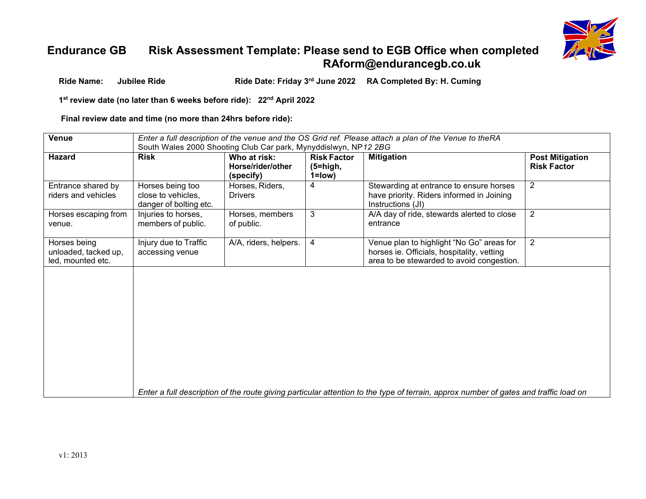

## **Endurance GB Risk Assessment Template: Please send to EGB Office when completed [RAform@endurancegb.co.uk](mailto:RAform@endurancegb.co.uk)**

**Ride Name: Jubilee Ride Ride Date: Friday 3rd June 2022 RA Completed By: H. Cuming**

**1st review date (no later than 6 weeks before ride): 22nd April 2022**

**Final review date and time (no more than 24hrs before ride):**

| <b>Venue</b>                                              | Enter a full description of the venue and the OS Grid ref. Please attach a plan of the Venue to theRA |                                                |                                                 |                                                                                                                                      |                                              |  |
|-----------------------------------------------------------|-------------------------------------------------------------------------------------------------------|------------------------------------------------|-------------------------------------------------|--------------------------------------------------------------------------------------------------------------------------------------|----------------------------------------------|--|
|                                                           | South Wales 2000 Shooting Club Car park, Mynyddislwyn, NP12 2BG                                       |                                                |                                                 |                                                                                                                                      |                                              |  |
| <b>Hazard</b>                                             | <b>Risk</b>                                                                                           | Who at risk:<br>Horse/rider/other<br>(specify) | <b>Risk Factor</b><br>$(5 = high,$<br>$1 = low$ | <b>Mitigation</b>                                                                                                                    | <b>Post Mitigation</b><br><b>Risk Factor</b> |  |
| Entrance shared by<br>riders and vehicles                 | Horses being too<br>close to vehicles,<br>danger of bolting etc.                                      | Horses, Riders,<br><b>Drivers</b>              | 4                                               | Stewarding at entrance to ensure horses<br>have priority. Riders informed in Joining<br>Instructions (JI)                            | $\overline{2}$                               |  |
| Horses escaping from<br>venue.                            | Injuries to horses,<br>members of public.                                                             | Horses, members<br>of public.                  | 3                                               | A/A day of ride, stewards alerted to close<br>entrance                                                                               | $\overline{2}$                               |  |
| Horses being<br>unloaded, tacked up,<br>led, mounted etc. | Injury due to Traffic<br>accessing venue                                                              | A/A, riders, helpers.                          | 4                                               | Venue plan to highlight "No Go" areas for<br>horses ie. Officials, hospitality, vetting<br>area to be stewarded to avoid congestion. | 2                                            |  |
|                                                           |                                                                                                       |                                                |                                                 | Enter a full description of the route giving particular attention to the type of terrain, approx number of gates and traffic load on |                                              |  |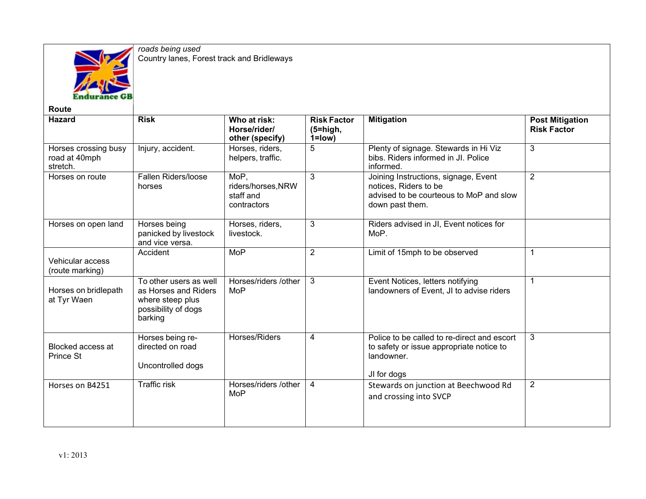

*roads being used* Country lanes, Forest track and Bridleways

| <b>Route</b>                                      |                                                                                                      |                                                        |                                                 |                                                                                                                             |                                              |
|---------------------------------------------------|------------------------------------------------------------------------------------------------------|--------------------------------------------------------|-------------------------------------------------|-----------------------------------------------------------------------------------------------------------------------------|----------------------------------------------|
| <b>Hazard</b>                                     | <b>Risk</b>                                                                                          | Who at risk:<br>Horse/rider/<br>other (specify)        | <b>Risk Factor</b><br>$(5 = high,$<br>$1 = low$ | <b>Mitigation</b>                                                                                                           | <b>Post Mitigation</b><br><b>Risk Factor</b> |
| Horses crossing busy<br>road at 40mph<br>stretch. | Injury, accident.                                                                                    | Horses, riders,<br>helpers, traffic.                   | 5                                               | Plenty of signage. Stewards in Hi Viz<br>bibs. Riders informed in JI. Police<br>informed.                                   | 3                                            |
| Horses on route                                   | <b>Fallen Riders/loose</b><br>horses                                                                 | MoP.<br>riders/horses, NRW<br>staff and<br>contractors | 3                                               | Joining Instructions, signage, Event<br>notices, Riders to be<br>advised to be courteous to MoP and slow<br>down past them. | 2                                            |
| Horses on open land                               | Horses being<br>panicked by livestock<br>and vice versa.                                             | Horses, riders,<br>livestock.                          | $\mathbf{3}$                                    | Riders advised in JI, Event notices for<br>MoP.                                                                             |                                              |
| Vehicular access<br>(route marking)               | Accident                                                                                             | <b>MoP</b>                                             | 2                                               | Limit of 15mph to be observed                                                                                               | $\mathbf 1$                                  |
| Horses on bridlepath<br>at Tyr Waen               | To other users as well<br>as Horses and Riders<br>where steep plus<br>possibility of dogs<br>barking | Horses/riders /other<br>MoP                            | 3                                               | Event Notices, letters notifying<br>landowners of Event, JI to advise riders                                                | 1                                            |
| Blocked access at<br>Prince St                    | Horses being re-<br>directed on road<br>Uncontrolled dogs                                            | Horses/Riders                                          | 4                                               | Police to be called to re-direct and escort<br>to safety or issue appropriate notice to<br>landowner.<br>JI for dogs        | 3                                            |
| Horses on B4251                                   | <b>Traffic risk</b>                                                                                  | Horses/riders /other<br>MoP                            | 4                                               | Stewards on junction at Beechwood Rd<br>and crossing into SVCP                                                              | 2                                            |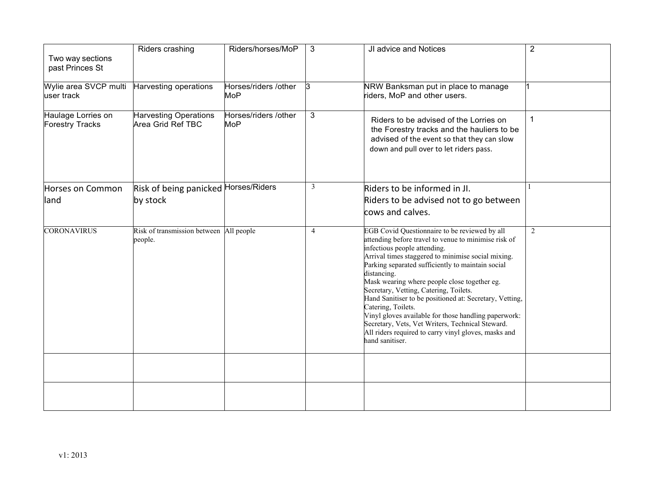| Two way sections<br>past Princes St          | Riders crashing                                    | Riders/horses/MoP                  | 3            | JI advice and Notices                                                                                                                                                                                                                                                                                                                                                                                                                                                                                                                                                                                                             | $\overline{2}$ |
|----------------------------------------------|----------------------------------------------------|------------------------------------|--------------|-----------------------------------------------------------------------------------------------------------------------------------------------------------------------------------------------------------------------------------------------------------------------------------------------------------------------------------------------------------------------------------------------------------------------------------------------------------------------------------------------------------------------------------------------------------------------------------------------------------------------------------|----------------|
| Wylie area SVCP multi<br>user track          | Harvesting operations                              | Horses/riders /other<br><b>MoP</b> | 3            | NRW Banksman put in place to manage<br>riders, MoP and other users.                                                                                                                                                                                                                                                                                                                                                                                                                                                                                                                                                               |                |
| Haulage Lorries on<br><b>Forestry Tracks</b> | <b>Harvesting Operations</b><br>Area Grid Ref TBC  | Horses/riders /other<br><b>MoP</b> | 3            | Riders to be advised of the Lorries on<br>the Forestry tracks and the hauliers to be<br>advised of the event so that they can slow<br>down and pull over to let riders pass.                                                                                                                                                                                                                                                                                                                                                                                                                                                      |                |
| Horses on Common<br>land                     | Risk of being panicked Horses/Riders<br>by stock   |                                    | $\mathbf{3}$ | Riders to be informed in Jl.<br>Riders to be advised not to go between<br>cows and calves.                                                                                                                                                                                                                                                                                                                                                                                                                                                                                                                                        |                |
| <b>CORONAVIRUS</b>                           | Risk of transmission between All people<br>people. |                                    | 4            | EGB Covid Questionnaire to be reviewed by all<br>attending before travel to venue to minimise risk of<br>infectious people attending.<br>Arrival times staggered to minimise social mixing.<br>Parking separated sufficiently to maintain social<br>distancing.<br>Mask wearing where people close together eg.<br>Secretary, Vetting, Catering, Toilets.<br>Hand Sanitiser to be positioned at: Secretary, Vetting,<br>Catering, Toilets.<br>Vinyl gloves available for those handling paperwork:<br>Secretary, Vets, Vet Writers, Technical Steward.<br>All riders required to carry vinyl gloves, masks and<br>hand sanitiser. | 2              |
|                                              |                                                    |                                    |              |                                                                                                                                                                                                                                                                                                                                                                                                                                                                                                                                                                                                                                   |                |
|                                              |                                                    |                                    |              |                                                                                                                                                                                                                                                                                                                                                                                                                                                                                                                                                                                                                                   |                |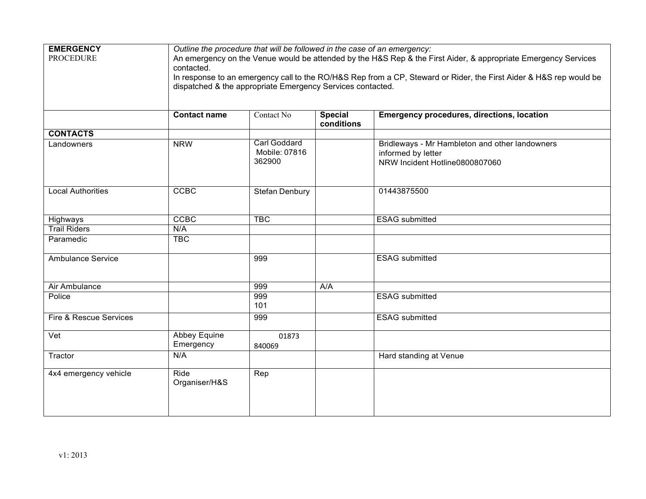| <b>EMERGENCY</b>           | Outline the procedure that will be followed in the case of an emergency:                                           |                     |                              |                                                   |  |  |
|----------------------------|--------------------------------------------------------------------------------------------------------------------|---------------------|------------------------------|---------------------------------------------------|--|--|
| <b>PROCEDURE</b>           | An emergency on the Venue would be attended by the H&S Rep & the First Aider, & appropriate Emergency Services     |                     |                              |                                                   |  |  |
|                            | contacted.                                                                                                         |                     |                              |                                                   |  |  |
|                            | In response to an emergency call to the RO/H&S Rep from a CP, Steward or Rider, the First Aider & H&S rep would be |                     |                              |                                                   |  |  |
|                            | dispatched & the appropriate Emergency Services contacted.                                                         |                     |                              |                                                   |  |  |
|                            |                                                                                                                    |                     |                              |                                                   |  |  |
|                            |                                                                                                                    |                     |                              |                                                   |  |  |
|                            | <b>Contact name</b>                                                                                                | Contact No          | <b>Special</b><br>conditions | <b>Emergency procedures, directions, location</b> |  |  |
| <b>CONTACTS</b>            |                                                                                                                    |                     |                              |                                                   |  |  |
| Landowners                 | <b>NRW</b>                                                                                                         | <b>Carl Goddard</b> |                              | Bridleways - Mr Hambleton and other landowners    |  |  |
|                            |                                                                                                                    | Mobile: 07816       |                              | informed by letter                                |  |  |
|                            |                                                                                                                    | 362900              |                              | NRW Incident Hotline0800807060                    |  |  |
|                            |                                                                                                                    |                     |                              |                                                   |  |  |
|                            |                                                                                                                    |                     |                              |                                                   |  |  |
| <b>Local Authorities</b>   | <b>CCBC</b>                                                                                                        | Stefan Denbury      |                              | 01443875500                                       |  |  |
|                            |                                                                                                                    |                     |                              |                                                   |  |  |
|                            |                                                                                                                    |                     |                              |                                                   |  |  |
| Highways                   | <b>CCBC</b>                                                                                                        | <b>TBC</b>          |                              | <b>ESAG</b> submitted                             |  |  |
| <b>Trail Riders</b>        | N/A                                                                                                                |                     |                              |                                                   |  |  |
| Paramedic                  | <b>TBC</b>                                                                                                         |                     |                              |                                                   |  |  |
|                            |                                                                                                                    |                     |                              |                                                   |  |  |
| <b>Ambulance Service</b>   |                                                                                                                    | 999                 |                              | <b>ESAG</b> submitted                             |  |  |
|                            |                                                                                                                    |                     |                              |                                                   |  |  |
|                            |                                                                                                                    |                     |                              |                                                   |  |  |
| Air Ambulance              |                                                                                                                    | 999                 | A/A                          |                                                   |  |  |
| Police                     |                                                                                                                    | 999                 |                              | <b>ESAG</b> submitted                             |  |  |
|                            |                                                                                                                    | 101                 |                              |                                                   |  |  |
| Fire & Rescue Services     |                                                                                                                    | 999                 |                              | <b>ESAG</b> submitted                             |  |  |
|                            |                                                                                                                    |                     |                              |                                                   |  |  |
| $\overline{\mathsf{Vert}}$ | <b>Abbey Equine</b>                                                                                                | 01873               |                              |                                                   |  |  |
|                            | Emergency                                                                                                          | 840069              |                              |                                                   |  |  |
| Tractor                    | N/A                                                                                                                |                     |                              | Hard standing at Venue                            |  |  |
|                            |                                                                                                                    |                     |                              |                                                   |  |  |
| 4x4 emergency vehicle      | Ride                                                                                                               | Rep                 |                              |                                                   |  |  |
|                            | Organiser/H&S                                                                                                      |                     |                              |                                                   |  |  |
|                            |                                                                                                                    |                     |                              |                                                   |  |  |
|                            |                                                                                                                    |                     |                              |                                                   |  |  |
|                            |                                                                                                                    |                     |                              |                                                   |  |  |